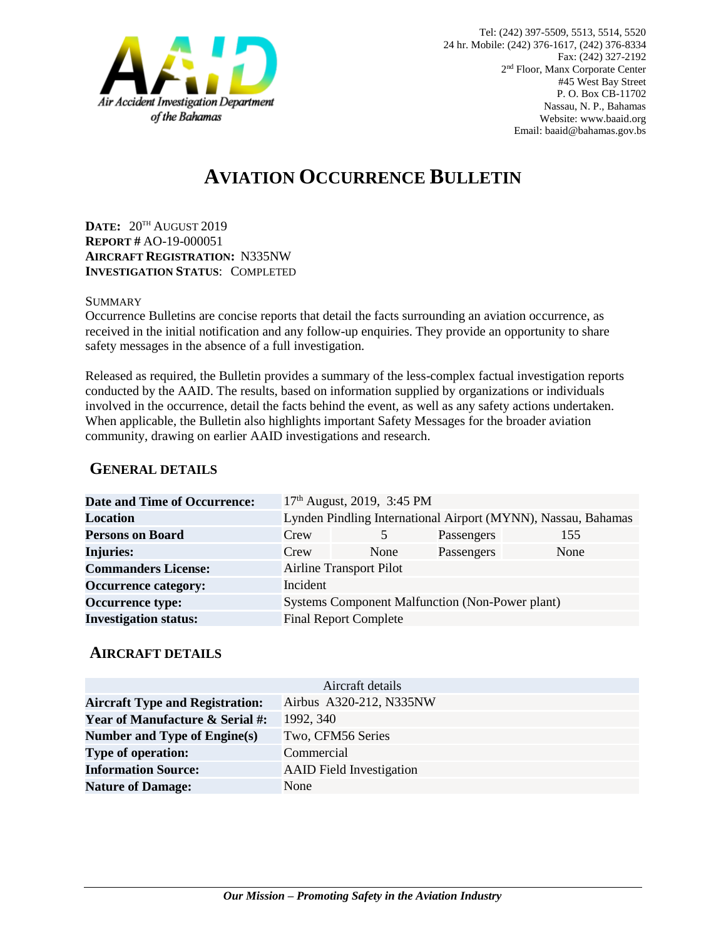

# **AVIATION OCCURRENCE BULLETIN**

**DATE:** 20TH AUGUST 2019 **REPORT #** AO-19-000051 **AIRCRAFT REGISTRATION:** N335NW **INVESTIGATION STATUS**: COMPLETED

#### **SUMMARY**

Occurrence Bulletins are concise reports that detail the facts surrounding an aviation occurrence, as received in the initial notification and any follow-up enquiries. They provide an opportunity to share safety messages in the absence of a full investigation*.*

Released as required, the Bulletin provides a summary of the less-complex factual investigation reports conducted by the AAID. The results, based on information supplied by organizations or individuals involved in the occurrence, detail the facts behind the event, as well as any safety actions undertaken. When applicable, the Bulletin also highlights important Safety Messages for the broader aviation community, drawing on earlier AAID investigations and research.

### **GENERAL DETAILS**

| <b>Date and Time of Occurrence:</b> |                                                               | 17 <sup>th</sup> August, 2019, 3:45 PM |            |      |
|-------------------------------------|---------------------------------------------------------------|----------------------------------------|------------|------|
| <b>Location</b>                     | Lynden Pindling International Airport (MYNN), Nassau, Bahamas |                                        |            |      |
| <b>Persons on Board</b>             | Crew                                                          | 5                                      | Passengers | 155  |
| <b>Injuries:</b>                    | Crew                                                          | None                                   | Passengers | None |
| <b>Commanders License:</b>          | <b>Airline Transport Pilot</b>                                |                                        |            |      |
| <b>Occurrence category:</b>         | Incident                                                      |                                        |            |      |
| <b>Occurrence type:</b>             | <b>Systems Component Malfunction (Non-Power plant)</b>        |                                        |            |      |
| <b>Investigation status:</b>        | <b>Final Report Complete</b>                                  |                                        |            |      |

#### **AIRCRAFT DETAILS**

| Aircraft details                           |                                 |  |  |  |
|--------------------------------------------|---------------------------------|--|--|--|
| <b>Aircraft Type and Registration:</b>     | Airbus A320-212, N335NW         |  |  |  |
| <b>Year of Manufacture &amp; Serial #:</b> | 1992, 340                       |  |  |  |
| Number and Type of Engine(s)               | Two, CFM56 Series               |  |  |  |
| <b>Type of operation:</b>                  | Commercial                      |  |  |  |
| <b>Information Source:</b>                 | <b>AAID</b> Field Investigation |  |  |  |
| <b>Nature of Damage:</b>                   | None                            |  |  |  |